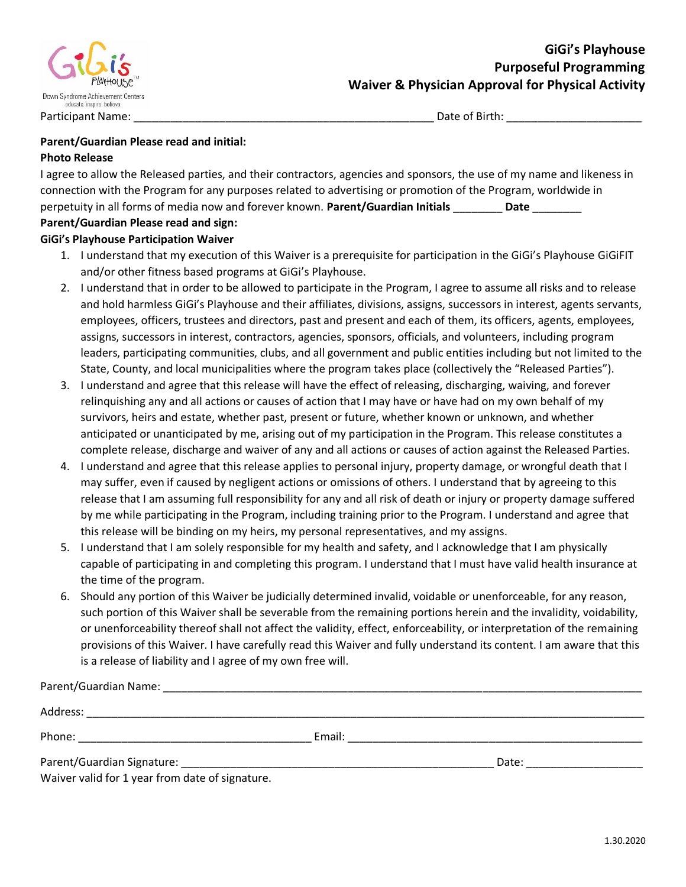

### **Parent/Guardian Please read and initial: Photo Release**

| Dovent Cuandian Diagon voor and ciant                                                                                   |
|-------------------------------------------------------------------------------------------------------------------------|
| perpetuity in all forms of media now and forever known. Parent/Guardian Initials<br>Date                                |
| connection with the Program for any purposes related to advertising or promotion of the Program, worldwide in           |
| I agree to allow the Released parties, and their contractors, agencies and sponsors, the use of my name and likeness in |

#### **Parent/Guardian Please read and sign: GiGi's Playhouse Participation Waiver**

- 1. I understand that my execution of this Waiver is a prerequisite for participation in the GiGi's Playhouse GiGiFIT and/or other fitness based programs at GiGi's Playhouse.
- 2. I understand that in order to be allowed to participate in the Program, I agree to assume all risks and to release and hold harmless GiGi's Playhouse and their affiliates, divisions, assigns, successors in interest, agents servants, employees, officers, trustees and directors, past and present and each of them, its officers, agents, employees, assigns, successors in interest, contractors, agencies, sponsors, officials, and volunteers, including program leaders, participating communities, clubs, and all government and public entities including but not limited to the State, County, and local municipalities where the program takes place (collectively the "Released Parties").
- 3. I understand and agree that this release will have the effect of releasing, discharging, waiving, and forever relinquishing any and all actions or causes of action that I may have or have had on my own behalf of my survivors, heirs and estate, whether past, present or future, whether known or unknown, and whether anticipated or unanticipated by me, arising out of my participation in the Program. This release constitutes a complete release, discharge and waiver of any and all actions or causes of action against the Released Parties.
- 4. I understand and agree that this release applies to personal injury, property damage, or wrongful death that I may suffer, even if caused by negligent actions or omissions of others. I understand that by agreeing to this release that I am assuming full responsibility for any and all risk of death or injury or property damage suffered by me while participating in the Program, including training prior to the Program. I understand and agree that this release will be binding on my heirs, my personal representatives, and my assigns.
- 5. I understand that I am solely responsible for my health and safety, and I acknowledge that I am physically capable of participating in and completing this program. I understand that I must have valid health insurance at the time of the program.
- 6. Should any portion of this Waiver be judicially determined invalid, voidable or unenforceable, for any reason, such portion of this Waiver shall be severable from the remaining portions herein and the invalidity, voidability, or unenforceability thereof shall not affect the validity, effect, enforceability, or interpretation of the remaining provisions of this Waiver. I have carefully read this Waiver and fully understand its content. I am aware that this is a release of liability and I agree of my own free will.

| Parent/Guardian Name:                           |        |       |  |
|-------------------------------------------------|--------|-------|--|
|                                                 |        |       |  |
|                                                 | Email: |       |  |
|                                                 |        | Date: |  |
| Waiver valid for 1 year from date of signature. |        |       |  |